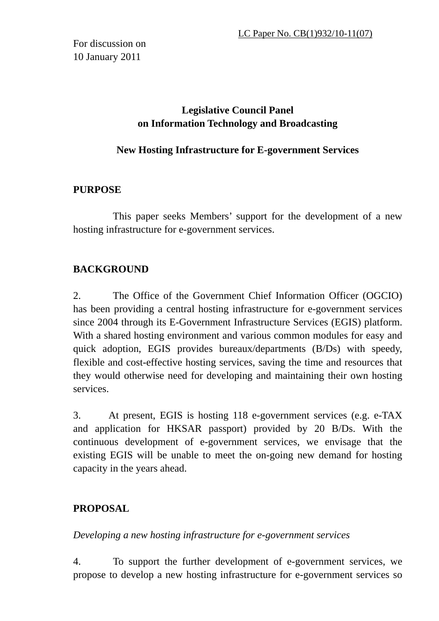For discussion on 10 January 2011

# **Legislative Council Panel on Information Technology and Broadcasting**

## **New Hosting Infrastructure for E-government Services**

## **PURPOSE**

 This paper seeks Members' support for the development of a new hosting infrastructure for e-government services.

# **BACKGROUND**

2. The Office of the Government Chief Information Officer (OGCIO) has been providing a central hosting infrastructure for e-government services since 2004 through its E-Government Infrastructure Services (EGIS) platform. With a shared hosting environment and various common modules for easy and quick adoption, EGIS provides bureaux/departments (B/Ds) with speedy, flexible and cost-effective hosting services, saving the time and resources that they would otherwise need for developing and maintaining their own hosting services.

3. At present, EGIS is hosting 118 e-government services (e.g. e-TAX and application for HKSAR passport) provided by 20 B/Ds. With the continuous development of e-government services, we envisage that the existing EGIS will be unable to meet the on-going new demand for hosting capacity in the years ahead.

# **PROPOSAL**

*Developing a new hosting infrastructure for e-government services* 

4. To support the further development of e-government services, we propose to develop a new hosting infrastructure for e-government services so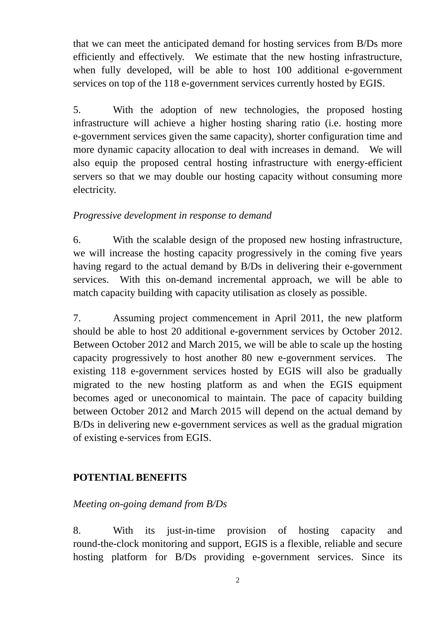that we can meet the anticipated demand for hosting services from B/Ds more efficiently and effectively. We estimate that the new hosting infrastructure, when fully developed, will be able to host 100 additional e-government services on top of the 118 e-government services currently hosted by EGIS.

5. With the adoption of new technologies, the proposed hosting infrastructure will achieve a higher hosting sharing ratio (i.e. hosting more e-government services given the same capacity), shorter configuration time and more dynamic capacity allocation to deal with increases in demand. We will also equip the proposed central hosting infrastructure with energy-efficient servers so that we may double our hosting capacity without consuming more electricity.

## *Progressive development in response to demand*

6. With the scalable design of the proposed new hosting infrastructure, we will increase the hosting capacity progressively in the coming five years having regard to the actual demand by B/Ds in delivering their e-government services. With this on-demand incremental approach, we will be able to match capacity building with capacity utilisation as closely as possible.

7. Assuming project commencement in April 2011, the new platform should be able to host 20 additional e-government services by October 2012. Between October 2012 and March 2015, we will be able to scale up the hosting capacity progressively to host another 80 new e-government services. The existing 118 e-government services hosted by EGIS will also be gradually migrated to the new hosting platform as and when the EGIS equipment becomes aged or uneconomical to maintain. The pace of capacity building between October 2012 and March 2015 will depend on the actual demand by B/Ds in delivering new e-government services as well as the gradual migration of existing e-services from EGIS.

# **POTENTIAL BENEFITS**

## *Meeting on-going demand from B/Ds*

8. With its just-in-time provision of hosting capacity and round-the-clock monitoring and support, EGIS is a flexible, reliable and secure hosting platform for B/Ds providing e-government services. Since its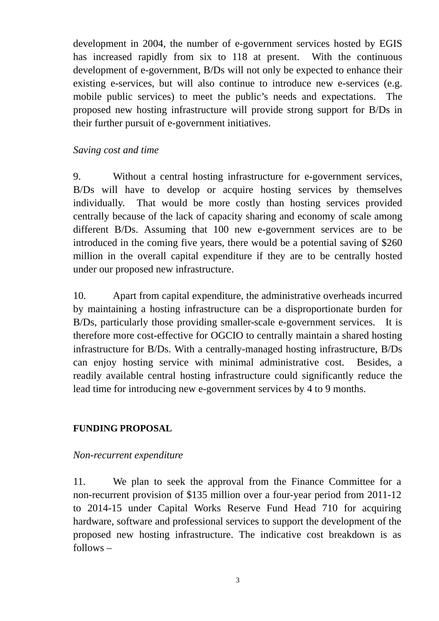development in 2004, the number of e-government services hosted by EGIS has increased rapidly from six to 118 at present. With the continuous development of e-government, B/Ds will not only be expected to enhance their existing e-services, but will also continue to introduce new e-services (e.g. mobile public services) to meet the public's needs and expectations. The proposed new hosting infrastructure will provide strong support for B/Ds in their further pursuit of e-government initiatives.

### *Saving cost and time*

9. Without a central hosting infrastructure for e-government services, B/Ds will have to develop or acquire hosting services by themselves individually. That would be more costly than hosting services provided centrally because of the lack of capacity sharing and economy of scale among different B/Ds. Assuming that 100 new e-government services are to be introduced in the coming five years, there would be a potential saving of \$260 million in the overall capital expenditure if they are to be centrally hosted under our proposed new infrastructure.

10. Apart from capital expenditure, the administrative overheads incurred by maintaining a hosting infrastructure can be a disproportionate burden for B/Ds, particularly those providing smaller-scale e-government services. It is therefore more cost-effective for OGCIO to centrally maintain a shared hosting infrastructure for B/Ds. With a centrally-managed hosting infrastructure, B/Ds can enjoy hosting service with minimal administrative cost. Besides, a readily available central hosting infrastructure could significantly reduce the lead time for introducing new e-government services by 4 to 9 months.

## **FUNDING PROPOSAL**

#### *Non-recurrent expenditure*

11. We plan to seek the approval from the Finance Committee for a non-recurrent provision of \$135 million over a four-year period from 2011-12 to 2014-15 under Capital Works Reserve Fund Head 710 for acquiring hardware, software and professional services to support the development of the proposed new hosting infrastructure. The indicative cost breakdown is as follows –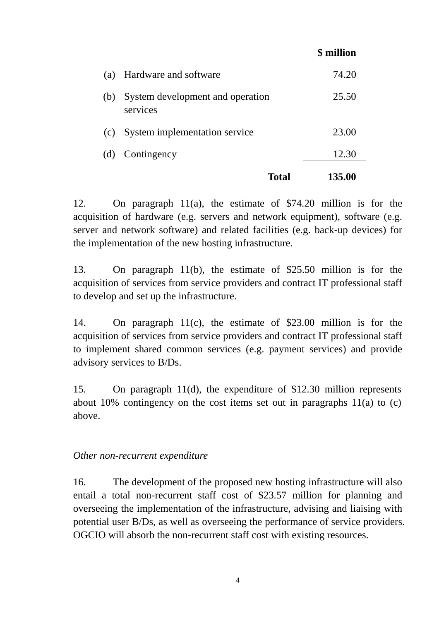|     |                                              | \$ million |
|-----|----------------------------------------------|------------|
| (a) | Hardware and software                        | 74.20      |
| (b) | System development and operation<br>services | 25.50      |
| (c) | System implementation service                | 23.00      |
| (d) | Contingency                                  | 12.30      |
|     | Total                                        | 135.00     |

12. On paragraph 11(a), the estimate of \$74.20 million is for the acquisition of hardware (e.g. servers and network equipment), software (e.g. server and network software) and related facilities (e.g. back-up devices) for the implementation of the new hosting infrastructure.

13. On paragraph 11(b), the estimate of \$25.50 million is for the acquisition of services from service providers and contract IT professional staff to develop and set up the infrastructure.

14. On paragraph 11(c), the estimate of \$23.00 million is for the acquisition of services from service providers and contract IT professional staff to implement shared common services (e.g. payment services) and provide advisory services to B/Ds.

15. On paragraph 11(d), the expenditure of \$12.30 million represents about 10% contingency on the cost items set out in paragraphs 11(a) to (c) above.

## *Other non-recurrent expenditure*

16. The development of the proposed new hosting infrastructure will also entail a total non-recurrent staff cost of \$23.57 million for planning and overseeing the implementation of the infrastructure, advising and liaising with potential user B/Ds, as well as overseeing the performance of service providers. OGCIO will absorb the non-recurrent staff cost with existing resources.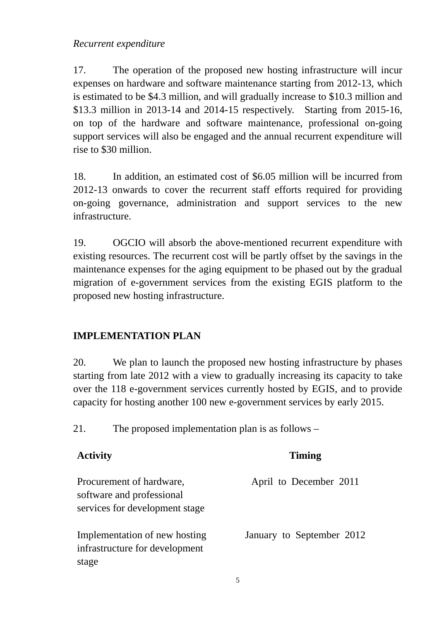*Recurrent expenditure* 

17. The operation of the proposed new hosting infrastructure will incur expenses on hardware and software maintenance starting from 2012-13, which is estimated to be \$4.3 million, and will gradually increase to \$10.3 million and \$13.3 million in 2013-14 and 2014-15 respectively. Starting from 2015-16, on top of the hardware and software maintenance, professional on-going support services will also be engaged and the annual recurrent expenditure will rise to \$30 million.

18. In addition, an estimated cost of \$6.05 million will be incurred from 2012-13 onwards to cover the recurrent staff efforts required for providing on-going governance, administration and support services to the new infrastructure.

19. OGCIO will absorb the above-mentioned recurrent expenditure with existing resources. The recurrent cost will be partly offset by the savings in the maintenance expenses for the aging equipment to be phased out by the gradual migration of e-government services from the existing EGIS platform to the proposed new hosting infrastructure.

# **IMPLEMENTATION PLAN**

20. We plan to launch the proposed new hosting infrastructure by phases starting from late 2012 with a view to gradually increasing its capacity to take over the 118 e-government services currently hosted by EGIS, and to provide capacity for hosting another 100 new e-government services by early 2015.

21. The proposed implementation plan is as follows –

| <b>Activity</b>                                                                         | <b>Timing</b>             |
|-----------------------------------------------------------------------------------------|---------------------------|
| Procurement of hardware,<br>software and professional<br>services for development stage | April to December 2011    |
| Implementation of new hosting<br>infrastructure for development<br>stage                | January to September 2012 |